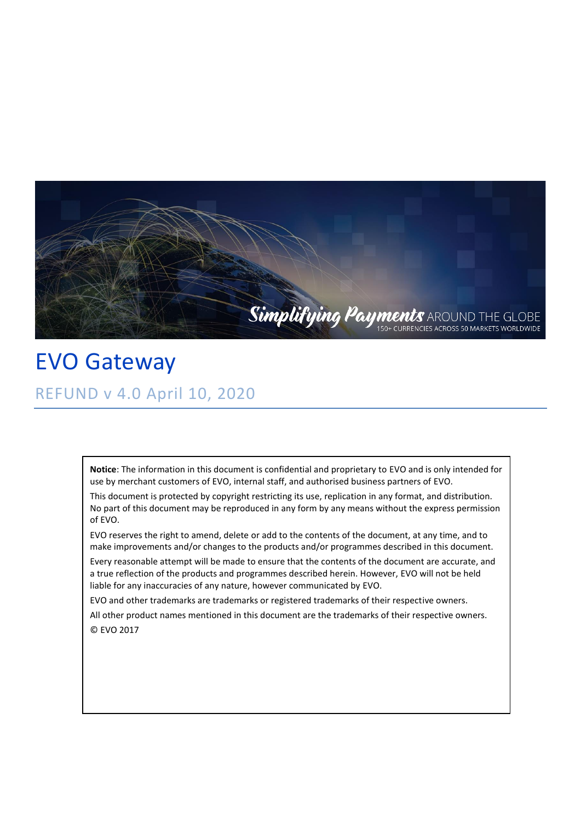

EVO Gateway REFUND v 4.0 April 10, 2020

> **Notice**: The information in this document is confidential and proprietary to EVO and is only intended for use by merchant customers of EVO, internal staff, and authorised business partners of EVO.

> This document is protected by copyright restricting its use, replication in any format, and distribution. No part of this document may be reproduced in any form by any means without the express permission of EVO.

EVO reserves the right to amend, delete or add to the contents of the document, at any time, and to make improvements and/or changes to the products and/or programmes described in this document.

Every reasonable attempt will be made to ensure that the contents of the document are accurate, and a true reflection of the products and programmes described herein. However, EVO will not be held liable for any inaccuracies of any nature, however communicated by EVO.

EVO and other trademarks are trademarks or registered trademarks of their respective owners.

All other product names mentioned in this document are the trademarks of their respective owners. © EVO 2017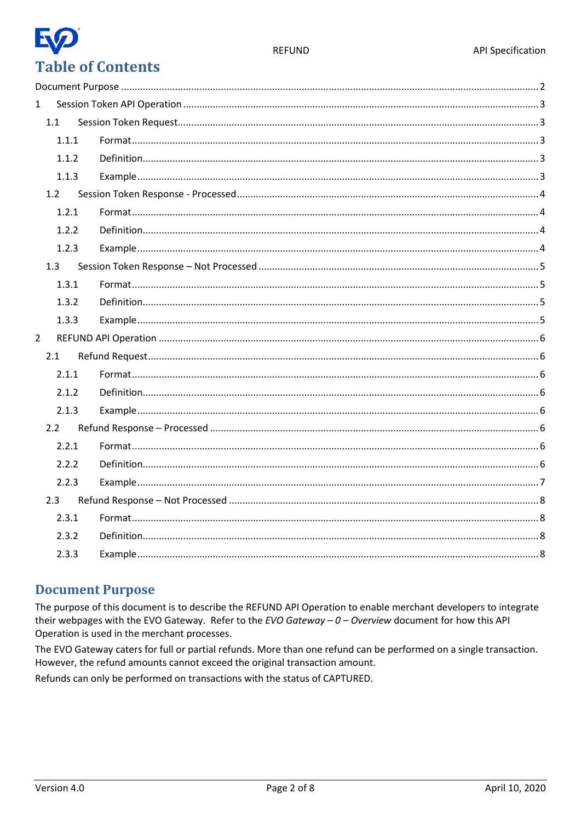

## E **Table of Contents**

| $\mathbf{1}$   |       |  |  |  |  |
|----------------|-------|--|--|--|--|
|                | 1.1   |  |  |  |  |
|                | 1.1.1 |  |  |  |  |
|                | 1.1.2 |  |  |  |  |
|                | 1.1.3 |  |  |  |  |
|                | 1.2   |  |  |  |  |
|                | 1.2.1 |  |  |  |  |
|                | 1.2.2 |  |  |  |  |
|                | 1.2.3 |  |  |  |  |
|                | 1.3   |  |  |  |  |
|                | 1.3.1 |  |  |  |  |
|                | 1.3.2 |  |  |  |  |
|                | 1.3.3 |  |  |  |  |
| $\overline{2}$ |       |  |  |  |  |
|                | 2.1   |  |  |  |  |
|                | 2.1.1 |  |  |  |  |
|                | 2.1.2 |  |  |  |  |
|                | 2.1.3 |  |  |  |  |
| 2.2            |       |  |  |  |  |
|                | 2.2.1 |  |  |  |  |
|                | 2.2.2 |  |  |  |  |
|                | 2.2.3 |  |  |  |  |
|                | 2.3   |  |  |  |  |
|                | 2.3.1 |  |  |  |  |
|                | 2.3.2 |  |  |  |  |
|                | 2.3.3 |  |  |  |  |

### <span id="page-1-0"></span>**Document Purpose**

The purpose of this document is to describe the REFUND API Operation to enable merchant developers to integrate their webpages with the EVO Gateway. Refer to the EVO Gateway  $-0$  - Overview document for how this API Operation is used in the merchant processes.

The EVO Gateway caters for full or partial refunds. More than one refund can be performed on a single transaction. However, the refund amounts cannot exceed the original transaction amount.

Refunds can only be performed on transactions with the status of CAPTURED.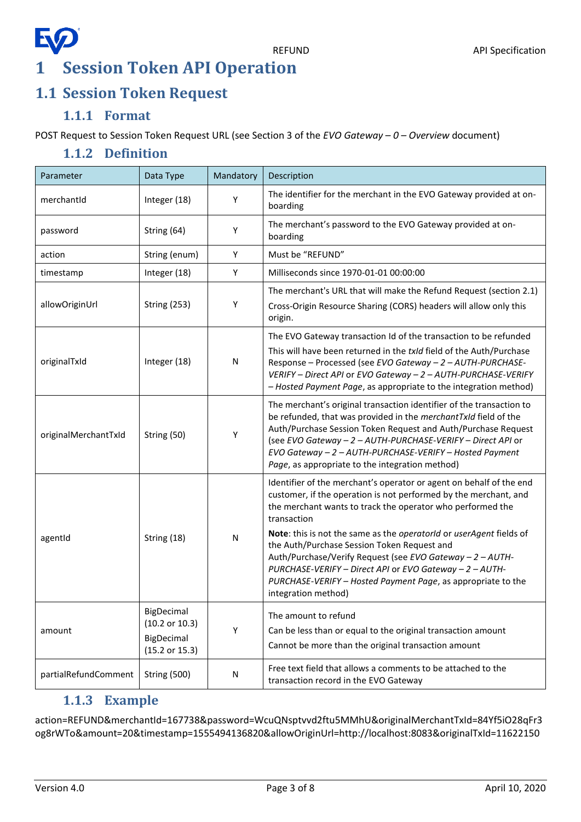## EQ **1 Session Token API Operation**

### <span id="page-2-1"></span><span id="page-2-0"></span>**1.1 Session Token Request**

### **1.1.1 Format**

<span id="page-2-3"></span><span id="page-2-2"></span>POST Request to Session Token Request URL (see Section 3 of the *EVO Gateway – 0 – Overview* document)

### **1.1.2 Definition**

| Parameter                                        | Data Type                                                               | Mandatory    | Description                                                                                                                                                                                                                                                                                                                                                                                                                                                                                                                                               |  |
|--------------------------------------------------|-------------------------------------------------------------------------|--------------|-----------------------------------------------------------------------------------------------------------------------------------------------------------------------------------------------------------------------------------------------------------------------------------------------------------------------------------------------------------------------------------------------------------------------------------------------------------------------------------------------------------------------------------------------------------|--|
| merchantId                                       | Integer (18)                                                            | Υ            | The identifier for the merchant in the EVO Gateway provided at on-<br>boarding                                                                                                                                                                                                                                                                                                                                                                                                                                                                            |  |
| password                                         | String (64)                                                             | Υ            | The merchant's password to the EVO Gateway provided at on-<br>boarding                                                                                                                                                                                                                                                                                                                                                                                                                                                                                    |  |
| action                                           | String (enum)                                                           | Y            | Must be "REFUND"                                                                                                                                                                                                                                                                                                                                                                                                                                                                                                                                          |  |
| timestamp                                        | Integer (18)                                                            | Y            | Milliseconds since 1970-01-01 00:00:00                                                                                                                                                                                                                                                                                                                                                                                                                                                                                                                    |  |
| allowOriginUrl                                   | <b>String (253)</b>                                                     | Y            | The merchant's URL that will make the Refund Request (section 2.1)<br>Cross-Origin Resource Sharing (CORS) headers will allow only this<br>origin.                                                                                                                                                                                                                                                                                                                                                                                                        |  |
| originalTxId                                     | Integer (18)                                                            | N            | The EVO Gateway transaction Id of the transaction to be refunded<br>This will have been returned in the txId field of the Auth/Purchase<br>Response - Processed (see EVO Gateway - 2 - AUTH-PURCHASE-<br>VERIFY - Direct API or EVO Gateway - 2 - AUTH-PURCHASE-VERIFY<br>- Hosted Payment Page, as appropriate to the integration method)                                                                                                                                                                                                                |  |
| originalMerchantTxId                             | String (50)                                                             | Υ            | The merchant's original transaction identifier of the transaction to<br>be refunded, that was provided in the merchantTxId field of the<br>Auth/Purchase Session Token Request and Auth/Purchase Request<br>(see EVO Gateway - 2 - AUTH-PURCHASE-VERIFY - Direct API or<br>EVO Gateway - 2 - AUTH-PURCHASE-VERIFY - Hosted Payment<br>Page, as appropriate to the integration method)                                                                                                                                                                     |  |
| agentId                                          | String (18)                                                             | $\mathsf{N}$ | Identifier of the merchant's operator or agent on behalf of the end<br>customer, if the operation is not performed by the merchant, and<br>the merchant wants to track the operator who performed the<br>transaction<br>Note: this is not the same as the operatorid or userAgent fields of<br>the Auth/Purchase Session Token Request and<br>Auth/Purchase/Verify Request (see EVO Gateway - 2 - AUTH-<br>PURCHASE-VERIFY - Direct API or EVO Gateway - 2 - AUTH-<br>PURCHASE-VERIFY - Hosted Payment Page, as appropriate to the<br>integration method) |  |
| amount                                           | BigDecimal<br>(10.2 or 10.3)<br>BigDecimal<br>$(15.2 \text{ or } 15.3)$ | Υ            | The amount to refund<br>Can be less than or equal to the original transaction amount<br>Cannot be more than the original transaction amount                                                                                                                                                                                                                                                                                                                                                                                                               |  |
| partialRefundComment<br><b>String (500)</b><br>N |                                                                         |              | Free text field that allows a comments to be attached to the<br>transaction record in the EVO Gateway                                                                                                                                                                                                                                                                                                                                                                                                                                                     |  |

### **1.1.3 Example**

<span id="page-2-4"></span>action=REFUND&merchantId=167738&password=WcuQNsptvvd2ftu5MMhU&originalMerchantTxId=84Yf5iO28qFr3 og8rWTo&amount=20&timestamp=1555494136820&allowOriginUrl=http://localhost:8083&originalTxId=11622150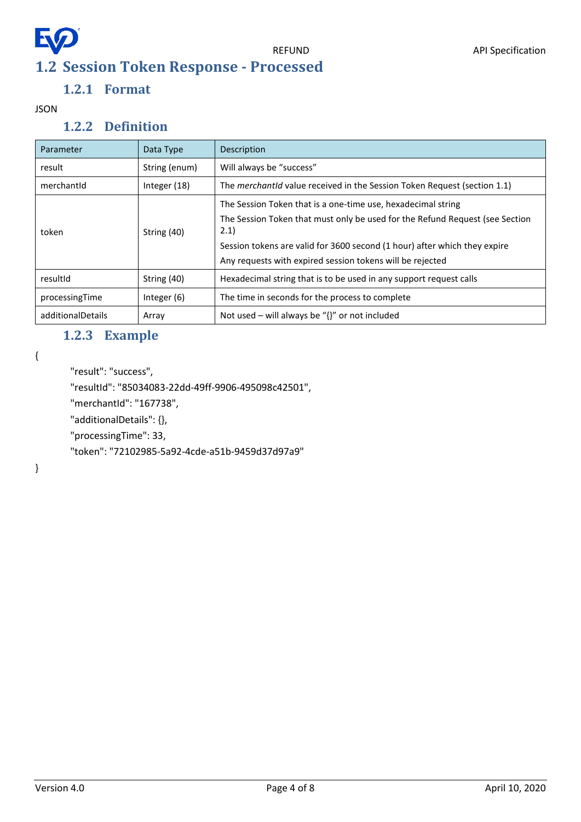# <span id="page-3-0"></span>EQ **1.2 Session Token Response - Processed**

### **1.2.1 Format**

<span id="page-3-2"></span><span id="page-3-1"></span>JSON

### **1.2.2 Definition**

| Parameter         | Data Type     | Description                                                                          |  |
|-------------------|---------------|--------------------------------------------------------------------------------------|--|
| result            | String (enum) | Will always be "success"                                                             |  |
| merchantid        | Integer (18)  | The <i>merchantid</i> value received in the Session Token Request (section 1.1)      |  |
|                   | String (40)   | The Session Token that is a one-time use, hexadecimal string                         |  |
| token             |               | The Session Token that must only be used for the Refund Request (see Section<br>2.1) |  |
|                   |               | Session tokens are valid for 3600 second (1 hour) after which they expire            |  |
|                   |               | Any requests with expired session tokens will be rejected                            |  |
| resultId          | String (40)   | Hexadecimal string that is to be used in any support request calls                   |  |
| processingTime    | Integer (6)   | The time in seconds for the process to complete                                      |  |
| additionalDetails | Array         | Not used – will always be " $\{$ " or not included                                   |  |

### **1.2.3 Example**

<span id="page-3-3"></span>{

```
"result": "success",
```
"resultId": "85034083-22dd-49ff-9906-495098c42501",

"merchantId": "167738",

"additionalDetails": {},

"processingTime": 33,

"token": "72102985-5a92-4cde-a51b-9459d37d97a9"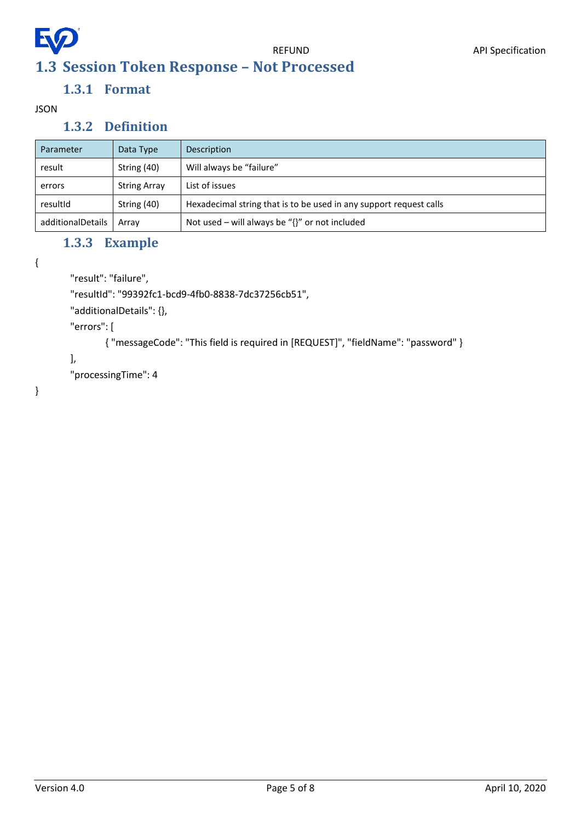<span id="page-4-0"></span>

## **1.3.1 Format**

<span id="page-4-2"></span><span id="page-4-1"></span>JSON

### **1.3.2 Definition**

| Parameter                                         | Data Type           | Description                                                        |
|---------------------------------------------------|---------------------|--------------------------------------------------------------------|
| Will always be "failure"<br>String (40)<br>result |                     |                                                                    |
| errors                                            | <b>String Array</b> | List of issues                                                     |
| resultId                                          | String (40)         | Hexadecimal string that is to be used in any support request calls |
| additionalDetails                                 | Arrav               | Not used – will always be " $\{$ " or not included                 |

### **1.3.3 Example**

<span id="page-4-3"></span>{

"result": "failure",

"resultId": "99392fc1-bcd9-4fb0-8838-7dc37256cb51",

"additionalDetails": {},

"errors": [

{ "messageCode": "This field is required in [REQUEST]", "fieldName": "password" }

#### ],

"processingTime": 4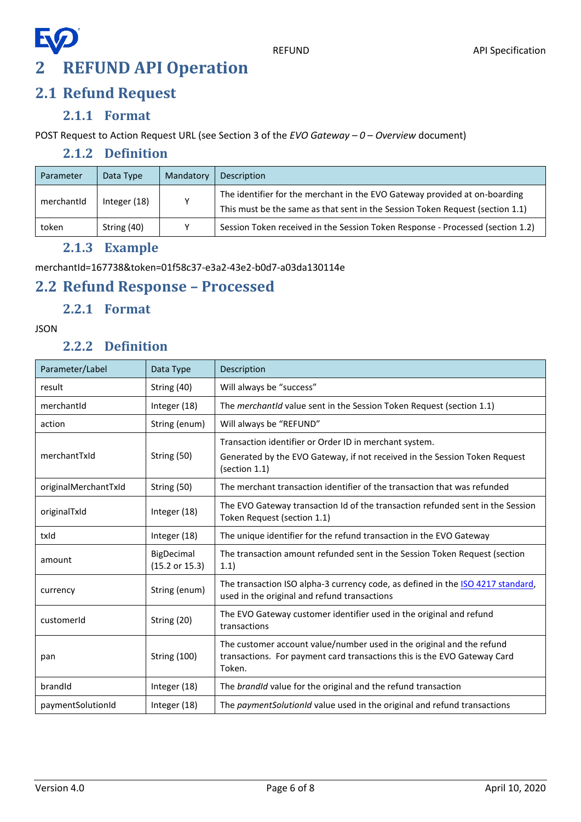## EQ **2 REFUND API Operation**

## <span id="page-5-1"></span><span id="page-5-0"></span>**2.1 Refund Request**

#### **2.1.1 Format**

<span id="page-5-3"></span><span id="page-5-2"></span>POST Request to Action Request URL (see Section 3 of the *EVO Gateway – 0 – Overview* document)

### **2.1.2 Definition**

| Parameter  | Data Type    | Mandatory | Description                                                                                                                                                 |
|------------|--------------|-----------|-------------------------------------------------------------------------------------------------------------------------------------------------------------|
| merchantId | Integer (18) | ۷         | The identifier for the merchant in the EVO Gateway provided at on-boarding<br>This must be the same as that sent in the Session Token Request (section 1.1) |
| token      | String (40)  | v         | Session Token received in the Session Token Response - Processed (section 1.2)                                                                              |

### **2.1.3 Example**

<span id="page-5-4"></span>merchantId=167738&token=01f58c37-e3a2-43e2-b0d7-a03da130114e

### <span id="page-5-5"></span>**2.2 Refund Response – Processed**

### **2.2.1 Format**

#### <span id="page-5-7"></span><span id="page-5-6"></span>JSON

#### **2.2.2 Definition**

| Parameter/Label      | Data Type                               | Description                                                                                                                                                 |
|----------------------|-----------------------------------------|-------------------------------------------------------------------------------------------------------------------------------------------------------------|
| result               | String (40)                             | Will always be "success"                                                                                                                                    |
| merchantId           | Integer (18)                            | The merchantid value sent in the Session Token Request (section 1.1)                                                                                        |
| action               | String (enum)                           | Will always be "REFUND"                                                                                                                                     |
| merchantTxId         | String (50)                             | Transaction identifier or Order ID in merchant system.<br>Generated by the EVO Gateway, if not received in the Session Token Request<br>(section 1.1)       |
| originalMerchantTxId | String (50)                             | The merchant transaction identifier of the transaction that was refunded                                                                                    |
| originalTxId         | Integer (18)                            | The EVO Gateway transaction Id of the transaction refunded sent in the Session<br>Token Request (section 1.1)                                               |
| txld                 | Integer (18)                            | The unique identifier for the refund transaction in the EVO Gateway                                                                                         |
| amount               | BigDecimal<br>$(15.2 \text{ or } 15.3)$ | The transaction amount refunded sent in the Session Token Request (section<br>1.1)                                                                          |
| currency             | String (enum)                           | The transaction ISO alpha-3 currency code, as defined in the ISO 4217 standard,<br>used in the original and refund transactions                             |
| customerId           | String (20)                             | The EVO Gateway customer identifier used in the original and refund<br>transactions                                                                         |
| pan                  | <b>String (100)</b>                     | The customer account value/number used in the original and the refund<br>transactions. For payment card transactions this is the EVO Gateway Card<br>Token. |
| brandId              | Integer (18)                            | The brandId value for the original and the refund transaction                                                                                               |
| paymentSolutionId    | Integer (18)                            | The payment Solution Id value used in the original and refund transactions                                                                                  |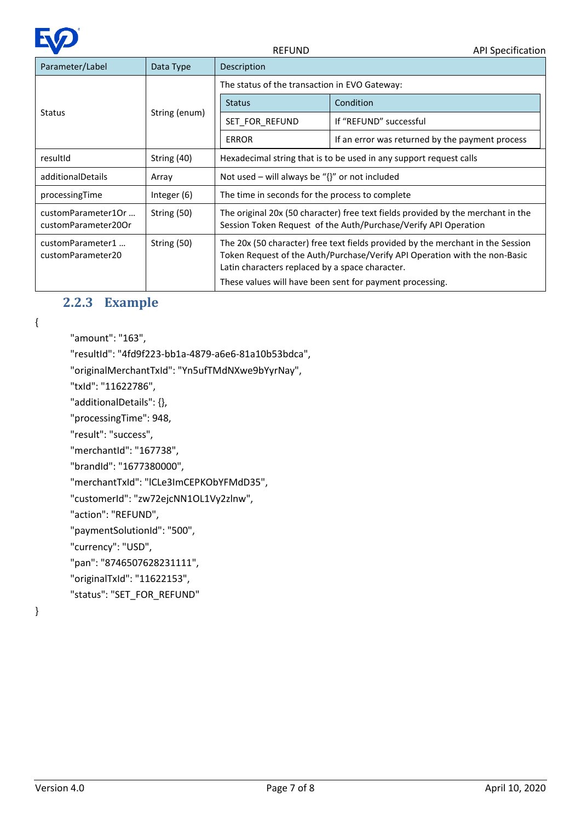

| Parameter/Label<br>Data Type              |               | Description                                                                                                                                                                                                                                                                  |                                                 |  |
|-------------------------------------------|---------------|------------------------------------------------------------------------------------------------------------------------------------------------------------------------------------------------------------------------------------------------------------------------------|-------------------------------------------------|--|
|                                           | String (enum) | The status of the transaction in EVO Gateway:                                                                                                                                                                                                                                |                                                 |  |
|                                           |               | <b>Status</b>                                                                                                                                                                                                                                                                | Condition                                       |  |
| Status                                    |               | SET FOR REFUND                                                                                                                                                                                                                                                               | If "REFUND" successful                          |  |
|                                           |               | <b>ERROR</b>                                                                                                                                                                                                                                                                 | If an error was returned by the payment process |  |
| resultId                                  | String (40)   | Hexadecimal string that is to be used in any support request calls                                                                                                                                                                                                           |                                                 |  |
| additionalDetails                         | Array         | Not used – will always be " $\{$ " or not included                                                                                                                                                                                                                           |                                                 |  |
| processingTime                            | Integer (6)   | The time in seconds for the process to complete                                                                                                                                                                                                                              |                                                 |  |
| customParameter1Or<br>customParameter20Or | String (50)   | The original 20x (50 character) free text fields provided by the merchant in the<br>Session Token Request of the Auth/Purchase/Verify API Operation                                                                                                                          |                                                 |  |
| customParameter1<br>customParameter20     | String (50)   | The 20x (50 character) free text fields provided by the merchant in the Session<br>Token Request of the Auth/Purchase/Verify API Operation with the non-Basic<br>Latin characters replaced by a space character.<br>These values will have been sent for payment processing. |                                                 |  |

### **2.2.3 Example**

<span id="page-6-0"></span>{

"amount": "163",

"resultId": "4fd9f223-bb1a-4879-a6e6-81a10b53bdca",

"originalMerchantTxId": "Yn5ufTMdNXwe9bYyrNay",

"txId": "11622786",

"additionalDetails": {},

"processingTime": 948,

"result": "success",

"merchantId": "167738",

"brandId": "1677380000",

"merchantTxId": "lCLe3ImCEPKObYFMdD35",

"customerId": "zw72ejcNN1OL1Vy2zlnw",

"action": "REFUND",

"paymentSolutionId": "500",

"currency": "USD",

"pan": "8746507628231111",

"originalTxId": "11622153",

"status": "SET\_FOR\_REFUND"